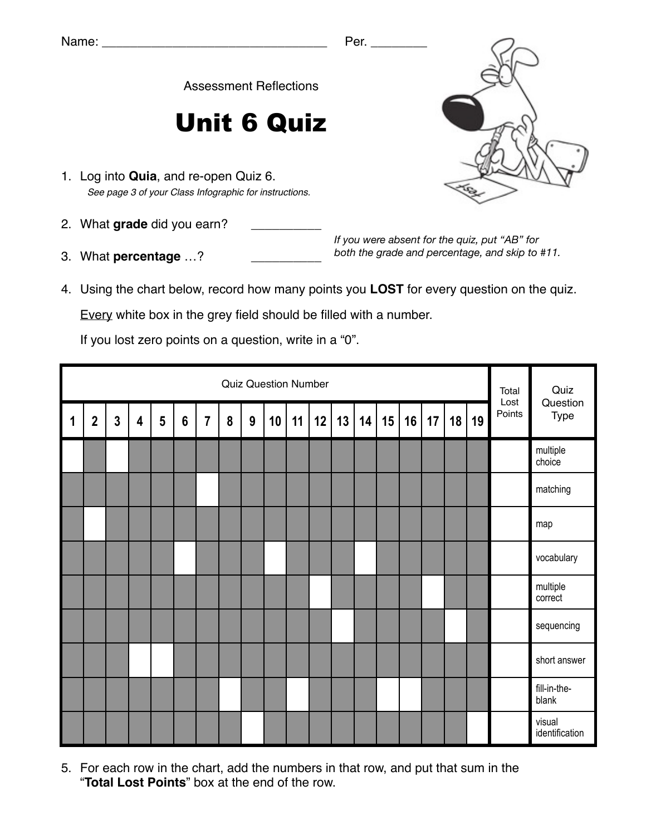Assessment Reflections

## Unit 6 Quiz

- 1. Log into **Quia**, and re-open Quiz 6. *See page 3 of your Class Infographic for instructions.*
- 2. What grade did you earn?
- 3. What **percentage** ...?

*If you were absent for the quiz, put "AB" for both the grade and percentage, and skip to #11.*

4. Using the chart below, record how many points you **LOST** for every question on the quiz.

Every white box in the grey field should be filled with a number.

If you lost zero points on a question, write in a "0".

|             | <b>Quiz Question Number</b> |              |   |   |                |                |   |   |    |    |    |    |    |    |    |    | Total<br>Lost | Quiz<br>Question |        |                          |
|-------------|-----------------------------|--------------|---|---|----------------|----------------|---|---|----|----|----|----|----|----|----|----|---------------|------------------|--------|--------------------------|
| $\mathbf 1$ | $\mathbf 2$                 | $\mathbf{3}$ | 4 | 5 | $6\phantom{1}$ | $\overline{7}$ | 8 | 9 | 10 | 11 | 12 | 13 | 14 | 15 | 16 | 17 | 18            | 19               | Points | Type                     |
|             |                             |              |   |   |                |                |   |   |    |    |    |    |    |    |    |    |               |                  |        | multiple<br>choice       |
|             |                             |              |   |   |                |                |   |   |    |    |    |    |    |    |    |    |               |                  |        | matching                 |
|             |                             |              |   |   |                |                |   |   |    |    |    |    |    |    |    |    |               |                  |        | map                      |
|             |                             |              |   |   |                |                |   |   |    |    |    |    |    |    |    |    |               |                  |        | vocabulary               |
|             |                             |              |   |   |                |                |   |   |    |    |    |    |    |    |    |    |               |                  |        | multiple<br>correct      |
|             |                             |              |   |   |                |                |   |   |    |    |    |    |    |    |    |    |               |                  |        | sequencing               |
|             |                             |              |   |   |                |                |   |   |    |    |    |    |    |    |    |    |               |                  |        | short answer             |
|             |                             |              |   |   |                |                |   |   |    |    |    |    |    |    |    |    |               |                  |        | fill-in-the-<br>blank    |
|             |                             |              |   |   |                |                |   |   |    |    |    |    |    |    |    |    |               |                  |        | visual<br>identification |

5. For each row in the chart, add the numbers in that row, and put that sum in the "**Total Lost Points**" box at the end of the row.